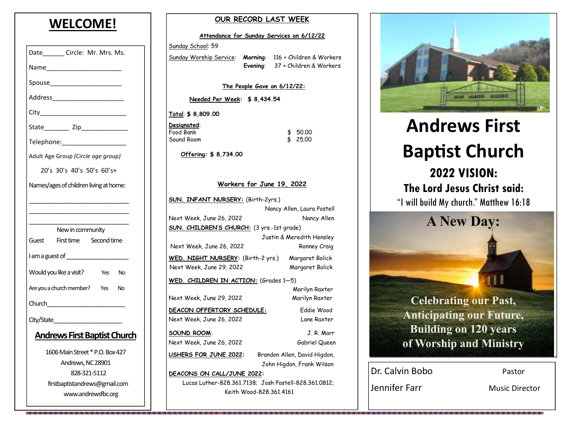## **WELCOME!**

| Date_________ Circle: Mr. Mrs. Ms.        |  |  |
|-------------------------------------------|--|--|
| Name____________________                  |  |  |
|                                           |  |  |
|                                           |  |  |
|                                           |  |  |
|                                           |  |  |
| Telephone: Telephone:                     |  |  |
| Adult Age Group (Circle age group)        |  |  |
| 20's 30's 40's 50's 60's+                 |  |  |
| Names/ages of children living at home:    |  |  |
|                                           |  |  |
|                                           |  |  |
| New in community                          |  |  |
| Guest First time Second time              |  |  |
| I am a guest of _________________         |  |  |
| Would you like a visit?<br>Yes<br>No.     |  |  |
| Are you a church member? Yes<br><b>No</b> |  |  |
|                                           |  |  |
| City/State <b>City</b>                    |  |  |
| <b>Andrews First Baptist Church</b>       |  |  |
| 1606 Main Street * P.O. Box 427           |  |  |
| Andrews, NC 28901                         |  |  |
| 828-321-5112                              |  |  |
| firstbaptistandrews@gmail.com             |  |  |
| www.andrewsfbc.org                        |  |  |

| OUR RECORD LAST WEEK                                  |                             |     |                                  |  |
|-------------------------------------------------------|-----------------------------|-----|----------------------------------|--|
| Attendance for Sunday Services on 6/12/22             |                             |     |                                  |  |
| Sunday School: 59                                     |                             |     |                                  |  |
| Sunday Worship Service:                               | Morning:                    |     | 116 + Children & Workers         |  |
|                                                       |                             |     | Evening: 37 + Children & Workers |  |
|                                                       | The People Gave on 6/12/22: |     |                                  |  |
| Needed Per Week: \$8,434.54                           |                             |     |                                  |  |
| Total: \$ 8,809.00                                    |                             |     |                                  |  |
| Designated:                                           |                             |     |                                  |  |
| Food Bank<br>Sound Room                               |                             | \$. | 50.00<br>25.00                   |  |
|                                                       |                             |     |                                  |  |
| Offering: \$8,734.00                                  |                             |     |                                  |  |
|                                                       |                             |     |                                  |  |
|                                                       | Workers for June 19, 2022   |     |                                  |  |
| <b>SUN. INFANT NURSERY:</b> (Birth-2yrs.)             |                             |     |                                  |  |
|                                                       |                             |     | Nancy Allen, Laura Postell       |  |
| Next Week, June 26, 2022                              |                             |     | Nancy Allen                      |  |
| <b>SUN. CHILDREN'S CHURCH:</b> (3 yrs.-1st grade)     |                             |     |                                  |  |
|                                                       |                             |     | Justin & Meredith Hensley        |  |
| Next Week, June 26, 2022                              |                             |     | Ronney Craig                     |  |
| <b>WED. NIGHT NURSERY:</b> (Birth-2 yrs.)             |                             |     | Margaret Bolick                  |  |
| Next Week, June 29, 2022                              |                             |     | Margaret Bolick                  |  |
| WED. CHILDREN IN ACTION: $(Grades 1-5)$               |                             |     |                                  |  |
|                                                       |                             |     | Marilyn Raxter                   |  |
| Next Week, June 29, 2022                              |                             |     | Marilyn Raxter                   |  |
| <u>DEACON OFFERTORY SCHEDULE:</u>                     |                             |     | Eddie Wood                       |  |
| Next Week, June 26, 2022                              |                             |     | Lane Raxter                      |  |
| <b>SOUND ROOM:</b>                                    |                             |     | J. R. Marr                       |  |
| Next Week, June 26, 2022                              |                             |     | Gabriel Queen                    |  |
| USHERS FOR JUNE 2022:<br>Brandon Allen, David Higdon, |                             |     |                                  |  |
|                                                       |                             |     | John Higdon, Frank Wilson        |  |

**DEACONS ON CALL/JUNE 2022:**  Lucas Luther-828.361.7138; Josh Postell-828.361.0812;Keith Wood-828.361.4161



# **Andrews First Baptist Church 2022 VISION: The Lord Jesus Christ said:** "I will build My church." Matthew 16:18 **A New Day:**

**Celebrating our Past, Anticipating our Future, Building on 120 years of Worship and Ministry** 

Dr. Calvin Bobo Pastor

Jennifer Farr Music Director

.......................